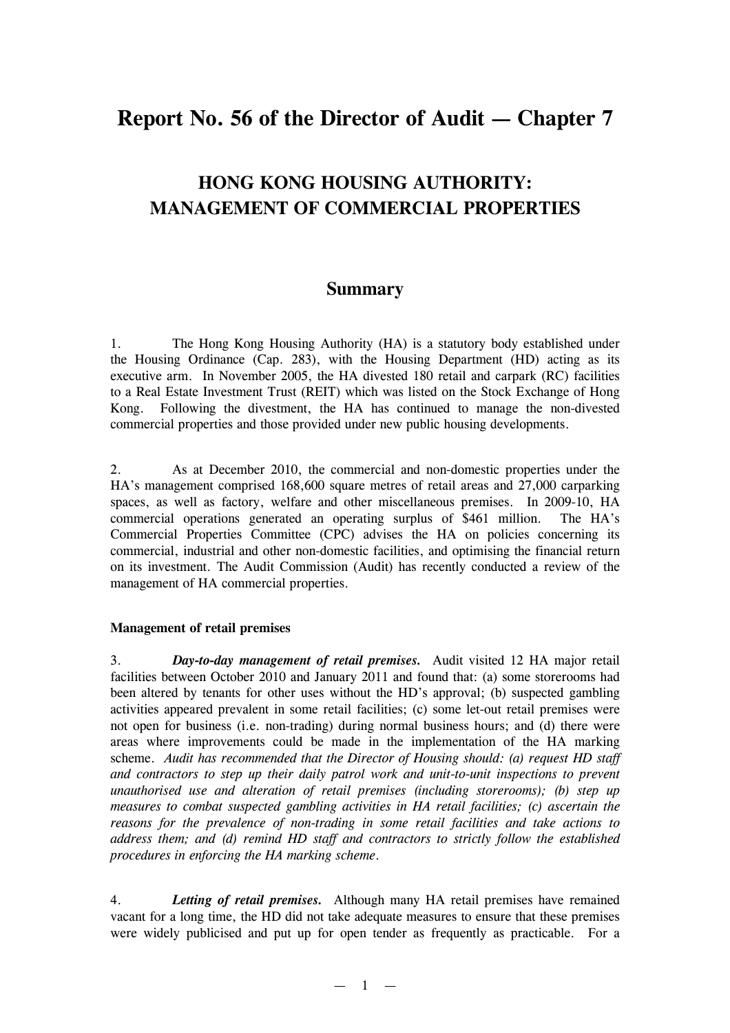# **Report No. 56 of the Director of Audit — Chapter 7**

## **HONG KONG HOUSING AUTHORITY: MANAGEMENT OF COMMERCIAL PROPERTIES**

## **Summary**

1. The Hong Kong Housing Authority (HA) is a statutory body established under the Housing Ordinance (Cap. 283), with the Housing Department (HD) acting as its executive arm. In November 2005, the HA divested 180 retail and carpark (RC) facilities to a Real Estate Investment Trust (REIT) which was listed on the Stock Exchange of Hong Kong. Following the divestment, the HA has continued to manage the non-divested commercial properties and those provided under new public housing developments.

2. As at December 2010, the commercial and non-domestic properties under the HA's management comprised 168,600 square metres of retail areas and 27,000 carparking spaces, as well as factory, welfare and other miscellaneous premises. In 2009-10, HA commercial operations generated an operating surplus of \$461 million. The HA's Commercial Properties Committee (CPC) advises the HA on policies concerning its commercial, industrial and other non-domestic facilities, and optimising the financial return on its investment. The Audit Commission (Audit) has recently conducted a review of the management of HA commercial properties.

## **Management of retail premises**

3. *Day-to-day management of retail premises.* Audit visited 12 HA major retail facilities between October 2010 and January 2011 and found that: (a) some storerooms had been altered by tenants for other uses without the HD's approval; (b) suspected gambling activities appeared prevalent in some retail facilities; (c) some let-out retail premises were not open for business (i.e. non-trading) during normal business hours; and (d) there were areas where improvements could be made in the implementation of the HA marking scheme. *Audit has recommended that the Director of Housing should: (a) request HD staff and contractors to step up their daily patrol work and unit-to-unit inspections to prevent unauthorised use and alteration of retail premises (including storerooms); (b) step up measures to combat suspected gambling activities in HA retail facilities; (c) ascertain the reasons for the prevalence of non-trading in some retail facilities and take actions to address them; and (d) remind HD staff and contractors to strictly follow the established procedures in enforcing the HA marking scheme*.

4. *Letting of retail premises.* Although many HA retail premises have remained vacant for a long time, the HD did not take adequate measures to ensure that these premises were widely publicised and put up for open tender as frequently as practicable. For a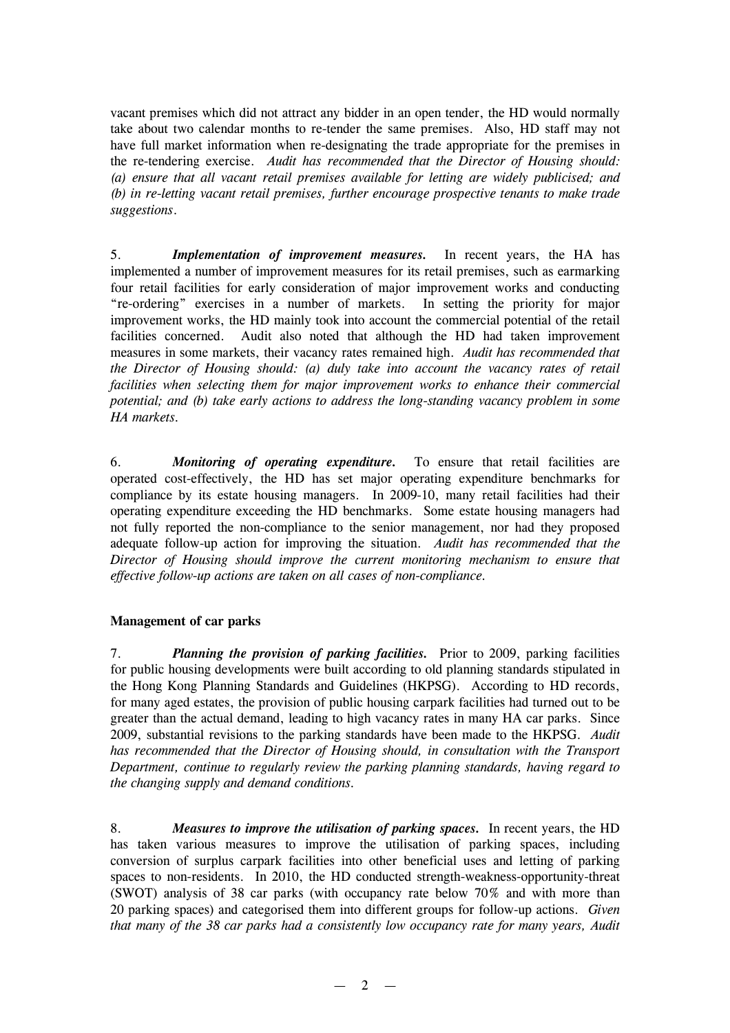vacant premises which did not attract any bidder in an open tender, the HD would normally take about two calendar months to re-tender the same premises. Also, HD staff may not have full market information when re-designating the trade appropriate for the premises in the re-tendering exercise. *Audit has recommended that the Director of Housing should: (a) ensure that all vacant retail premises available for letting are widely publicised; and (b) in re-letting vacant retail premises, further encourage prospective tenants to make trade suggestions*.

5. *Implementation of improvement measures.* In recent years, the HA has implemented a number of improvement measures for its retail premises, such as earmarking four retail facilities for early consideration of major improvement works and conducting "re-ordering" exercises in a number of markets. In setting the priority for major improvement works, the HD mainly took into account the commercial potential of the retail facilities concerned. Audit also noted that although the HD had taken improvement measures in some markets, their vacancy rates remained high. *Audit has recommended that the Director of Housing should: (a) duly take into account the vacancy rates of retail facilities when selecting them for major improvement works to enhance their commercial potential; and (b) take early actions to address the long-standing vacancy problem in some HA markets.*

6. *Monitoring of operating expenditure.* To ensure that retail facilities are operated cost-effectively, the HD has set major operating expenditure benchmarks for compliance by its estate housing managers. In 2009-10, many retail facilities had their operating expenditure exceeding the HD benchmarks. Some estate housing managers had not fully reported the non-compliance to the senior management, nor had they proposed adequate follow-up action for improving the situation. *Audit has recommended that the Director of Housing should improve the current monitoring mechanism to ensure that effective follow-up actions are taken on all cases of non-compliance.*

## **Management of car parks**

7. *Planning the provision of parking facilities.* Prior to 2009, parking facilities for public housing developments were built according to old planning standards stipulated in the Hong Kong Planning Standards and Guidelines (HKPSG). According to HD records, for many aged estates, the provision of public housing carpark facilities had turned out to be greater than the actual demand, leading to high vacancy rates in many HA car parks. Since 2009, substantial revisions to the parking standards have been made to the HKPSG. *Audit has recommended that the Director of Housing should, in consultation with the Transport Department, continue to regularly review the parking planning standards, having regard to the changing supply and demand conditions.*

8. *Measures to improve the utilisation of parking spaces.* In recent years, the HD has taken various measures to improve the utilisation of parking spaces, including conversion of surplus carpark facilities into other beneficial uses and letting of parking spaces to non-residents. In 2010, the HD conducted strength-weakness-opportunity-threat (SWOT) analysis of 38 car parks (with occupancy rate below 70% and with more than 20 parking spaces) and categorised them into different groups for follow-up actions. *Given that many of the 38 car parks had a consistently low occupancy rate for many years, Audit*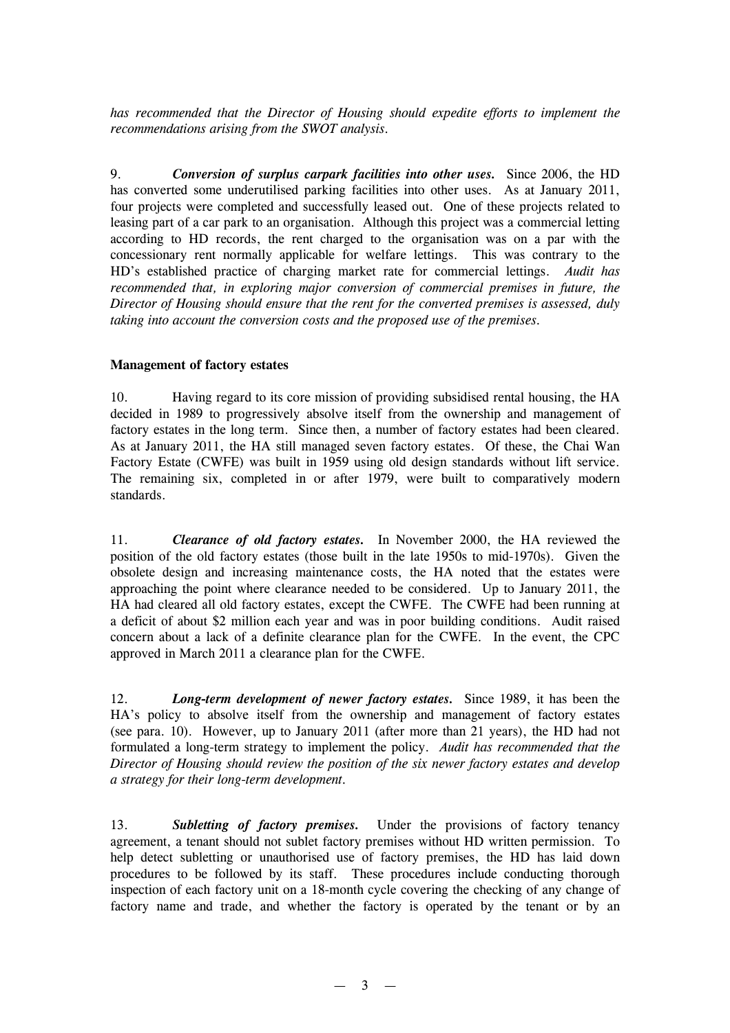*has recommended that the Director of Housing should expedite efforts to implement the recommendations arising from the SWOT analysis.*

9. *Conversion of surplus carpark facilities into other uses.* Since 2006, the HD has converted some underutilised parking facilities into other uses. As at January 2011, four projects were completed and successfully leased out. One of these projects related to leasing part of a car park to an organisation. Although this project was a commercial letting according to HD records, the rent charged to the organisation was on a par with the concessionary rent normally applicable for welfare lettings. This was contrary to the HD's established practice of charging market rate for commercial lettings. *Audit has recommended that, in exploring major conversion of commercial premises in future, the Director of Housing should ensure that the rent for the converted premises is assessed, duly taking into account the conversion costs and the proposed use of the premises.*

## **Management of factory estates**

10. Having regard to its core mission of providing subsidised rental housing, the HA decided in 1989 to progressively absolve itself from the ownership and management of factory estates in the long term. Since then, a number of factory estates had been cleared. As at January 2011, the HA still managed seven factory estates. Of these, the Chai Wan Factory Estate (CWFE) was built in 1959 using old design standards without lift service. The remaining six, completed in or after 1979, were built to comparatively modern standards.

11. *Clearance of old factory estates.* In November 2000, the HA reviewed the position of the old factory estates (those built in the late 1950s to mid-1970s). Given the obsolete design and increasing maintenance costs, the HA noted that the estates were approaching the point where clearance needed to be considered. Up to January 2011, the HA had cleared all old factory estates, except the CWFE. The CWFE had been running at a deficit of about \$2 million each year and was in poor building conditions. Audit raised concern about a lack of a definite clearance plan for the CWFE. In the event, the CPC approved in March 2011 a clearance plan for the CWFE.

12. *Long-term development of newer factory estates.* Since 1989, it has been the HA's policy to absolve itself from the ownership and management of factory estates (see para. 10). However, up to January 2011 (after more than 21 years), the HD had not formulated a long-term strategy to implement the policy. *Audit has recommended that the Director of Housing should review the position of the six newer factory estates and develop a strategy for their long-term development.*

13. *Subletting of factory premises.* Under the provisions of factory tenancy agreement, a tenant should not sublet factory premises without HD written permission. To help detect subletting or unauthorised use of factory premises, the HD has laid down procedures to be followed by its staff. These procedures include conducting thorough inspection of each factory unit on a 18-month cycle covering the checking of any change of factory name and trade, and whether the factory is operated by the tenant or by an